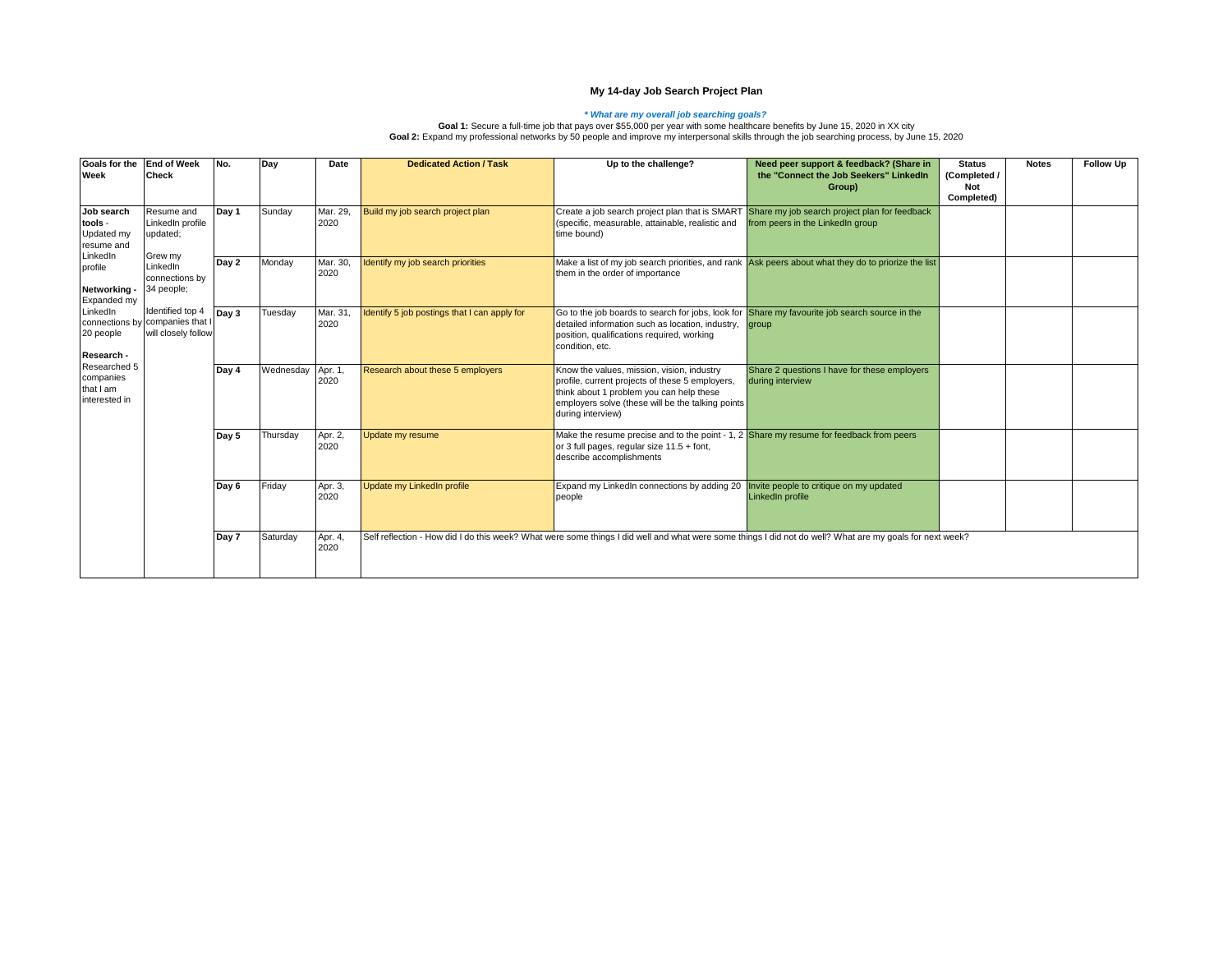## **My 14-day Job Search Project Plan**

*What are my overall job searching goals?*<br>Goal 1: Secure a full-time job that pays over \$55,000 per year with some healthcare benefits by June 15, 2020 in XX city<br>Goal 2: Expand my professional networks by 50 people and

| Goals for the End of Week<br>Week                                                                                                                                                                         | <b>Check</b>                                                                                                                                                                    | No.   | Day              | Date             | <b>Dedicated Action / Task</b>               | Up to the challenge?                                                                                                                                                                                                | Need peer support & feedback? (Share in<br>the "Connect the Job Seekers" LinkedIn<br>Group)         | <b>Status</b><br>(Completed /<br>Not<br>Completed) | <b>Notes</b> | <b>Follow Up</b> |
|-----------------------------------------------------------------------------------------------------------------------------------------------------------------------------------------------------------|---------------------------------------------------------------------------------------------------------------------------------------------------------------------------------|-------|------------------|------------------|----------------------------------------------|---------------------------------------------------------------------------------------------------------------------------------------------------------------------------------------------------------------------|-----------------------------------------------------------------------------------------------------|----------------------------------------------------|--------------|------------------|
| Job search<br>tools -<br>Updated my<br>resume and<br>LinkedIn<br>profile<br>Networking -<br>Expanded my<br>LinkedIn<br>20 people<br>Research -<br>Researched 5<br>companies<br>that I am<br>interested in | Resume and<br>LinkedIn profile<br>updated;<br>Grew my<br>LinkedIn<br>connections by<br>34 people:<br>Identified top 4<br>connections by companies that I<br>will closely follow | Day 1 | Sunday           | Mar. 29,<br>2020 | Build my job search project plan             | Create a job search project plan that is SMART<br>(specific, measurable, attainable, realistic and<br>time bound)                                                                                                   | Share my job search project plan for feedback<br>from peers in the LinkedIn group                   |                                                    |              |                  |
|                                                                                                                                                                                                           |                                                                                                                                                                                 | Day 2 | Monday           | Mar. 30,<br>2020 | Identify my job search priorities            | them in the order of importance                                                                                                                                                                                     | Make a list of my job search priorities, and rank Ask peers about what they do to priorize the list |                                                    |              |                  |
|                                                                                                                                                                                                           |                                                                                                                                                                                 | Day 3 | Tuesday          | Mar. 31<br>2020  | Identify 5 job postings that I can apply for | Go to the job boards to search for jobs, look for Share my favourite job search source in the<br>detailed information such as location, industry,<br>position, qualifications required, working<br>condition, etc.  | group                                                                                               |                                                    |              |                  |
|                                                                                                                                                                                                           |                                                                                                                                                                                 | Day 4 | Wednesday Apr. 1 | 2020             | Research about these 5 employers             | Know the values, mission, vision, industry<br>profile, current projects of these 5 employers,<br>think about 1 problem you can help these<br>employers solve (these will be the talking points<br>during interview) | Share 2 questions I have for these employers<br>during interview                                    |                                                    |              |                  |
|                                                                                                                                                                                                           |                                                                                                                                                                                 | Day 5 | Thursday         | Apr. 2,<br>2020  | Update my resume                             | Make the resume precise and to the point - 1, 2 Share my resume for feedback from peers<br>or 3 full pages, regular size 11.5 + font,<br>describe accomplishments                                                   |                                                                                                     |                                                    |              |                  |
|                                                                                                                                                                                                           |                                                                                                                                                                                 | Day 6 | Friday           | Apr. 3,<br>2020  | Update my LinkedIn profile                   | Expand my LinkedIn connections by adding 20 Invite people to critique on my updated<br>people                                                                                                                       | LinkedIn profile                                                                                    |                                                    |              |                  |
|                                                                                                                                                                                                           |                                                                                                                                                                                 | Day 7 | Saturday         | Apr. 4,<br>2020  |                                              | Self reflection - How did I do this week? What were some things I did well and what were some things I did not do well? What are my goals for next week?                                                            |                                                                                                     |                                                    |              |                  |